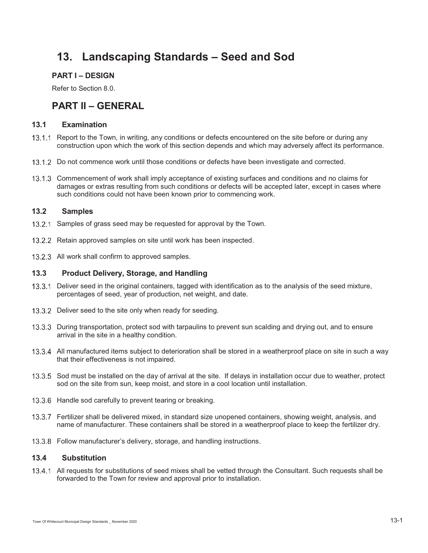# **13. Landscaping Standards – Seed and Sod**

## **PART I – DESIGN**

Refer to Section 8.0.

## **PART II – GENERAL**

## **13.1 Examination**

- 13.1.1 Report to the Town, in writing, any conditions or defects encountered on the site before or during any construction upon which the work of this section depends and which may adversely affect its performance.
- 13.1.2 Do not commence work until those conditions or defects have been investigate and corrected.
- 13.1.3 Commencement of work shall imply acceptance of existing surfaces and conditions and no claims for damages or extras resulting from such conditions or defects will be accepted later, except in cases where such conditions could not have been known prior to commencing work.

## **13.2 Samples**

- 13.2.1 Samples of grass seed may be requested for approval by the Town.
- 13.2.2 Retain approved samples on site until work has been inspected.
- 13.2.3 All work shall confirm to approved samples.

## **13.3 Product Delivery, Storage, and Handling**

- 13.3.1 Deliver seed in the original containers, tagged with identification as to the analysis of the seed mixture, percentages of seed, year of production, net weight, and date.
- 13.3.2 Deliver seed to the site only when ready for seeding.
- 13.3.3 During transportation, protect sod with tarpaulins to prevent sun scalding and drying out, and to ensure arrival in the site in a healthy condition.
- 13.3.4 All manufactured items subject to deterioration shall be stored in a weatherproof place on site in such a way that their effectiveness is not impaired.
- 13.3.5 Sod must be installed on the day of arrival at the site. If delays in installation occur due to weather, protect sod on the site from sun, keep moist, and store in a cool location until installation.
- 13.3.6 Handle sod carefully to prevent tearing or breaking.
- Fertilizer shall be delivered mixed, in standard size unopened containers, showing weight, analysis, and name of manufacturer. These containers shall be stored in a weatherproof place to keep the fertilizer dry.
- 13.3.8 Follow manufacturer's delivery, storage, and handling instructions.

## **13.4 Substitution**

13.4.1 All requests for substitutions of seed mixes shall be vetted through the Consultant. Such requests shall be forwarded to the Town for review and approval prior to installation.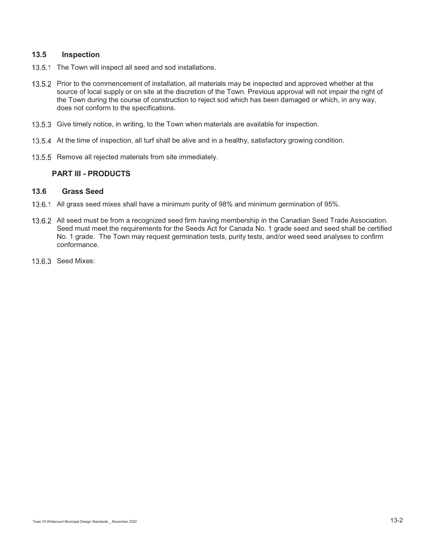## **13.5 Inspection**

- 13.5.1 The Town will inspect all seed and sod installations.
- 13.5.2 Prior to the commencement of installation, all materials may be inspected and approved whether at the source of local supply or on site at the discretion of the Town. Previous approval will not impair the right of the Town during the course of construction to reject sod which has been damaged or which, in any way, does not conform to the specifications.
- 13.5.3 Give timely notice, in writing, to the Town when materials are available for inspection.
- 13.5.4 At the time of inspection, all turf shall be alive and in a healthy, satisfactory growing condition.
- 13.5.5 Remove all rejected materials from site immediately.

#### **PART III - PRODUCTS**

## **13.6 Grass Seed**

- 13.6.1 All grass seed mixes shall have a minimum purity of 98% and minimum germination of 95%.
- 13.6.2 All seed must be from a recognized seed firm having membership in the Canadian Seed Trade Association. Seed must meet the requirements for the Seeds Act for Canada No. 1 grade seed and seed shall be certified No. 1 grade. The Town may request germination tests, purity tests, and/or weed seed analyses to confirm conformance.
- 13.6.3 Seed Mixes: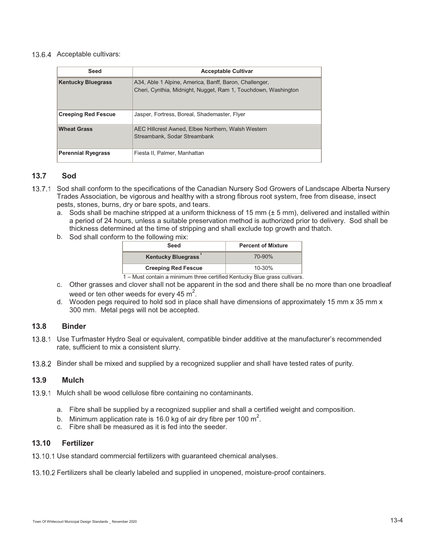#### 13.6.4 Acceptable cultivars:

| Seed                       | <b>Acceptable Cultivar</b>                                                                                               |
|----------------------------|--------------------------------------------------------------------------------------------------------------------------|
| <b>Kentucky Bluegrass</b>  | A34, Able 1 Alpine, America, Banff, Baron, Challenger,<br>Cheri, Cynthia, Midnight, Nugget, Ram 1, Touchdown, Washington |
| <b>Creeping Red Fescue</b> | Jasper, Fortress, Boreal, Shademaster, Flyer                                                                             |
| <b>Wheat Grass</b>         | AEC Hillcrest Awned, Elbee Northern, Walsh Western<br>Streambank, Sodar Streambank                                       |
| <b>Perennial Ryegrass</b>  | Fiesta II, Palmer, Manhattan                                                                                             |

#### **13.7 Sod**

- 13.7.1 Sod shall conform to the specifications of the Canadian Nursery Sod Growers of Landscape Alberta Nursery Trades Association, be vigorous and healthy with a strong fibrous root system, free from disease, insect pests, stones, burns, dry or bare spots, and tears.
	- a. Sods shall be machine stripped at a uniform thickness of 15 mm  $(\pm 5 \text{ mm})$ , delivered and installed within a period of 24 hours, unless a suitable preservation method is authorized prior to delivery. Sod shall be thickness determined at the time of stripping and shall exclude top growth and thatch.
	- b. Sod shall conform to the following mix:

| Seed                                                                 | <b>Percent of Mixture</b> |
|----------------------------------------------------------------------|---------------------------|
| <b>Kentucky Bluegrass</b>                                            | $70 - 90%$                |
| <b>Creeping Red Fescue</b>                                           | $10 - 30%$                |
| Must contain a minimum three cortified Kantualar Dlue areae outtings |                           |

1 – Must contain a minimum three certified Kentucky Blue grass cultivars.

- c. Other grasses and clover shall not be apparent in the sod and there shall be no more than one broadleaf weed or ten other weeds for every 45  $\text{m}^2$ .
- d. Wooden pegs required to hold sod in place shall have dimensions of approximately 15 mm x 35 mm x 300 mm. Metal pegs will not be accepted.

## **13.8 Binder**

- Use Turfmaster Hydro Seal or equivalent, compatible binder additive at the manufacturer's recommended rate, sufficient to mix a consistent slurry.
- 13.8.2 Binder shall be mixed and supplied by a recognized supplier and shall have tested rates of purity.

## **13.9 Mulch**

- 13.9.1 Mulch shall be wood cellulose fibre containing no contaminants.
	- a. Fibre shall be supplied by a recognized supplier and shall a certified weight and composition.
	- b. Minimum application rate is 16.0 kg of air dry fibre per 100 m<sup>2</sup>.
	- c. Fibre shall be measured as it is fed into the seeder.

## **13.10 Fertilizer**

13.10.1 Use standard commercial fertilizers with quaranteed chemical analyses.

13.10.2 Fertilizers shall be clearly labeled and supplied in unopened, moisture-proof containers.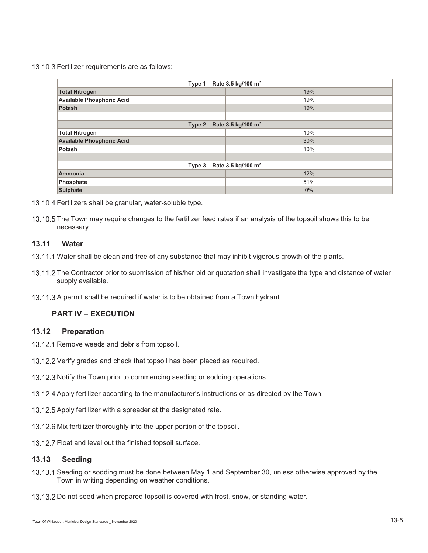#### 13.10.3 Fertilizer requirements are as follows:

| Type 1 – Rate 3.5 kg/100 m <sup>2</sup>   |       |  |  |  |
|-------------------------------------------|-------|--|--|--|
| <b>Total Nitrogen</b>                     | 19%   |  |  |  |
| <b>Available Phosphoric Acid</b>          | 19%   |  |  |  |
| <b>Potash</b>                             | 19%   |  |  |  |
|                                           |       |  |  |  |
| Type 2 – Rate 3.5 kg/100 $m^2$            |       |  |  |  |
| <b>Total Nitrogen</b>                     | 10%   |  |  |  |
| <b>Available Phosphoric Acid</b>          | 30%   |  |  |  |
| Potash                                    | 10%   |  |  |  |
|                                           |       |  |  |  |
| Type $3 -$ Rate 3.5 kg/100 m <sup>2</sup> |       |  |  |  |
| <b>Ammonia</b>                            | 12%   |  |  |  |
| Phosphate                                 | 51%   |  |  |  |
| <b>Sulphate</b>                           | $0\%$ |  |  |  |

- 13.10.4 Fertilizers shall be granular, water-soluble type.
- 13.10.5 The Town may require changes to the fertilizer feed rates if an analysis of the topsoil shows this to be necessary.

## **13.11 Water**

- 13.11.1 Water shall be clean and free of any substance that may inhibit vigorous growth of the plants.
- 13.11.2 The Contractor prior to submission of his/her bid or quotation shall investigate the type and distance of water supply available.
- 13.11.3 A permit shall be required if water is to be obtained from a Town hydrant.

## **PART IV – EXECUTION**

## **13.12 Preparation**

- 13.12.1 Remove weeds and debris from topsoil.
- 13.12.2 Verify grades and check that topsoil has been placed as required.
- 13.12.3 Notify the Town prior to commencing seeding or sodding operations.
- 13.12.4 Apply fertilizer according to the manufacturer's instructions or as directed by the Town.
- 13.12.5 Apply fertilizer with a spreader at the designated rate.
- 13.12.6 Mix fertilizer thoroughly into the upper portion of the topsoil.
- 13.12.7 Float and level out the finished topsoil surface.

#### **13.13 Seeding**

- 13.13.1 Seeding or sodding must be done between May 1 and September 30, unless otherwise approved by the Town in writing depending on weather conditions.
- 13.13.2 Do not seed when prepared topsoil is covered with frost, snow, or standing water.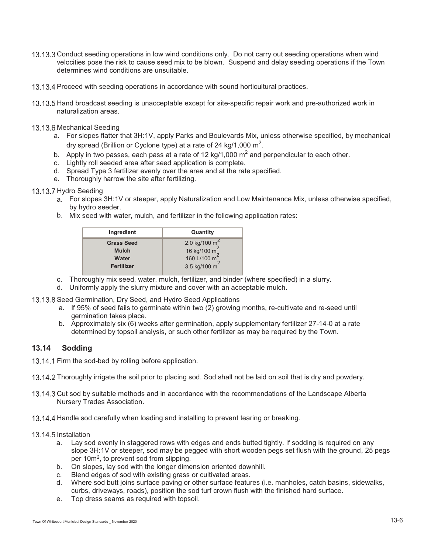- 13.13.3 Conduct seeding operations in low wind conditions only. Do not carry out seeding operations when wind velocities pose the risk to cause seed mix to be blown. Suspend and delay seeding operations if the Town determines wind conditions are unsuitable.
- 13.13.4 Proceed with seeding operations in accordance with sound horticultural practices.
- 13.13.5 Hand broadcast seeding is unacceptable except for site-specific repair work and pre-authorized work in naturalization areas.
- 13.13.6 Mechanical Seeding
	- a. For slopes flatter that 3H:1V, apply Parks and Boulevards Mix, unless otherwise specified, by mechanical dry spread (Brillion or Cyclone type) at a rate of 24 kg/1,000  $\text{m}^2$ .
	- b. Apply in two passes, each pass at a rate of 12 kg/1,000  $m^2$  and perpendicular to each other.
	- c. Lightly roll seeded area after seed application is complete.
	- d. Spread Type 3 fertilizer evenly over the area and at the rate specified.
	- e. Thoroughly harrow the site after fertilizing.

#### 13.13.7 Hydro Seeding

- a. For slopes 3H:1V or steeper, apply Naturalization and Low Maintenance Mix, unless otherwise specified, by hydro seeder.
- b. Mix seed with water, mulch, and fertilizer in the following application rates:

| Ingredient        | Quantity                                                                                                       |
|-------------------|----------------------------------------------------------------------------------------------------------------|
| <b>Grass Seed</b> | 2.0 kg/100 m <sup>2</sup><br>16 kg/100 m <sup>2</sup><br>160 L/100 m <sup>2</sup><br>3.5 kg/100 m <sup>2</sup> |
| <b>Mulch</b>      |                                                                                                                |
| Water             |                                                                                                                |
| <b>Fertilizer</b> |                                                                                                                |

- c. Thoroughly mix seed, water, mulch, fertilizer, and binder (where specified) in a slurry.
- d. Uniformly apply the slurry mixture and cover with an acceptable mulch.
- 13.13.8 Seed Germination, Dry Seed, and Hydro Seed Applications
	- a. If 95% of seed fails to germinate within two (2) growing months, re-cultivate and re-seed until germination takes place.
	- b. Approximately six (6) weeks after germination, apply supplementary fertilizer 27-14-0 at a rate determined by topsoil analysis, or such other fertilizer as may be required by the Town.

## **13.14 Sodding**

13.14.1 Firm the sod-bed by rolling before application.

- 13.14.2 Thoroughly irrigate the soil prior to placing sod. Sod shall not be laid on soil that is dry and powdery.
- 13.14.3 Cut sod by suitable methods and in accordance with the recommendations of the Landscape Alberta Nursery Trades Association.
- 13.14.4 Handle sod carefully when loading and installing to prevent tearing or breaking.

#### 13.14.5 Installation

- a. Lay sod evenly in staggered rows with edges and ends butted tightly. If sodding is required on any slope 3H:1V or steeper, sod may be pegged with short wooden pegs set flush with the ground, 25 pegs per 10m2, to prevent sod from slipping.
- b. On slopes, lay sod with the longer dimension oriented downhill.
- c. Blend edges of sod with existing grass or cultivated areas.<br>d. Where sod butt joins surface paving or other surface featur
- Where sod butt joins surface paving or other surface features (i.e. manholes, catch basins, sidewalks, curbs, driveways, roads), position the sod turf crown flush with the finished hard surface.
- e. Top dress seams as required with topsoil.